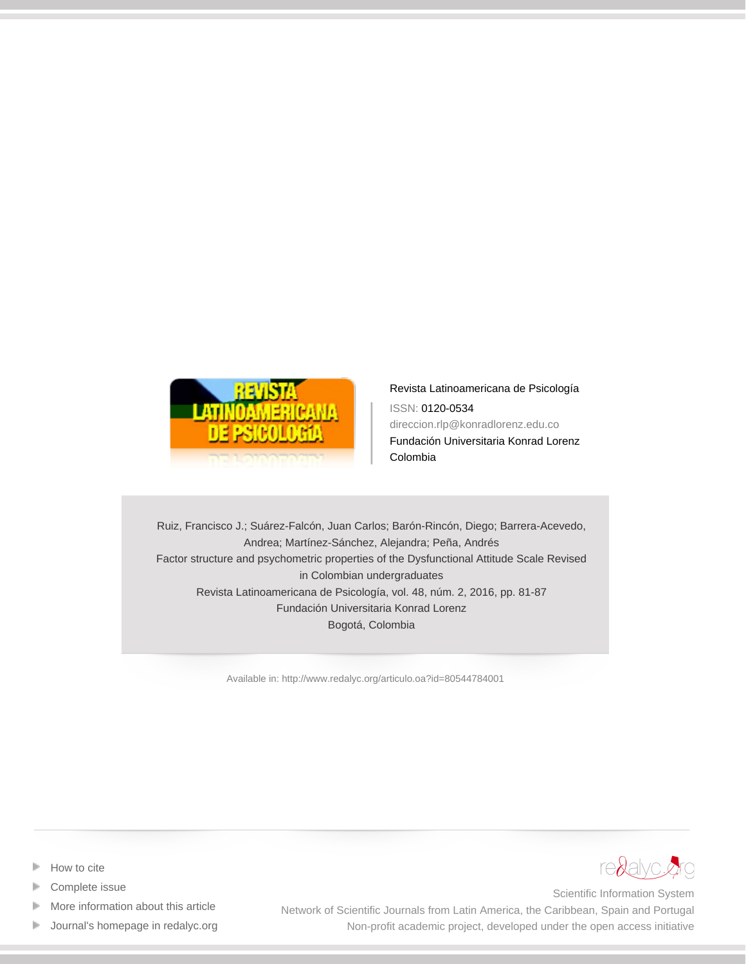

[Revista Latinoamericana de Psicología](http://www.redalyc.org/revista.oa?id=805) ISSN: 0120-0534 direccion.rlp@konradlorenz.edu.co Fundación Universitaria Konrad Lorenz Colombia

Ruiz, Francisco J.; Suárez-Falcón, Juan Carlos; Barón-Rincón, Diego; Barrera-Acevedo, Andrea; Martínez-Sánchez, Alejandra; Peña, Andrés Factor structure and psychometric properties of the Dysfunctional Attitude Scale Revised in Colombian undergraduates Revista Latinoamericana de Psicología, vol. 48, núm. 2, 2016, pp. 81-87 Fundación Universitaria Konrad Lorenz Bogotá, Colombia

[Available in: http://www.redalyc.org/articulo.oa?id=80544784001](http://www.redalyc.org/articulo.oa?id=80544784001)



- [Complete issue](http://www.redalyc.org/fasciculo.oa?id=805&numero=44784)
- [More information about this article](http://www.redalyc.org/articulo.oa?id=80544784001) Þ
- [Journal's homepage in redalyc.org](http://www.redalyc.org/revista.oa?id=805)  $\mathbb P$



Scientific Information System Network of Scientific Journals from Latin America, the Caribbean, Spain and Portugal Non-profit academic project, developed under the open access initiative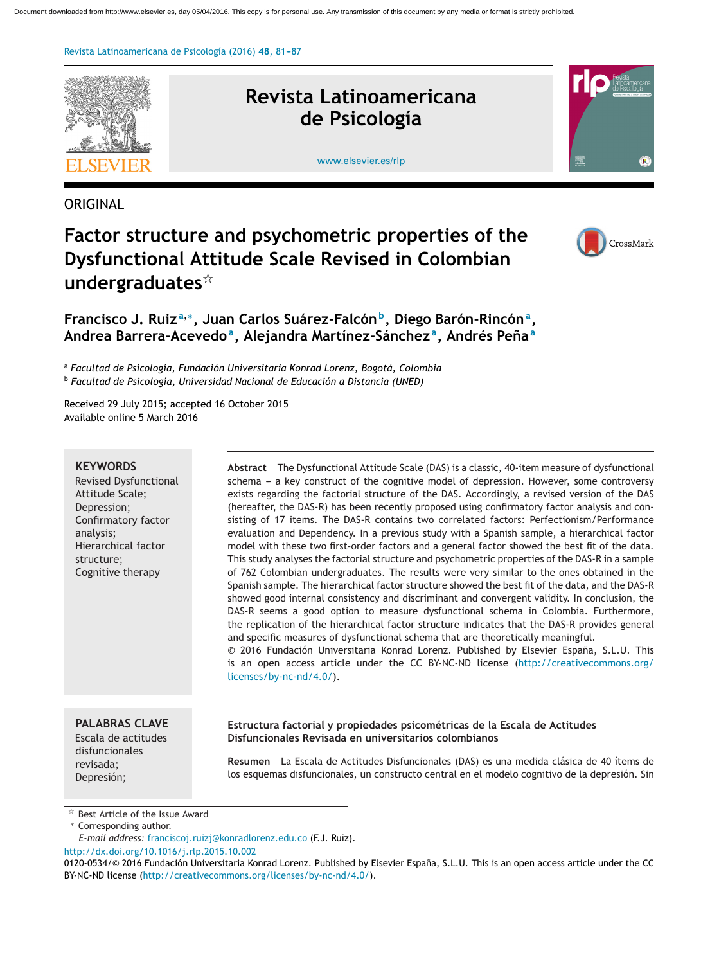Revista [Latinoamericana](dx.doi.org/10.1016/j.rlp.2015.10.002) de Psicología (2016) 48, 81-87



**ORIGINAL** 

## **Revista Latinoamericana de Psicología**

[www.elsevier.es/rlp](http://www.elsevier.es/rlp)



# **Factor structure and psychometric properties of the Dysfunctional Attitude Scale Revised in Colombian undergraduates**-



**Francisco J. Ruiz <sup>a</sup>,∗, Juan Carlos Suárez-Falcónb, Diego Barón-Rincóna, Andrea Barrera-Acevedoa, Alejandra Martínez-Sánchez a, Andrés Pena˜ <sup>a</sup>**

<sup>a</sup> *Facultad de Psicología, Fundación Universitaria Konrad Lorenz, Bogotá, Colombia* <sup>b</sup> *Facultad de Psicología, Universidad Nacional de Educación a Distancia (UNED)*

Received 29 July 2015; accepted 16 October 2015 Available online 5 March 2016

## **KEYWORDS**

Revised Dysfunctional Attitude Scale; Depression; Confirmatory factor analysis; Hierarchical factor structure;

Cognitive therapy

## **PALABRAS CLAVE**

Escala de actitudes disfuncionales revisada; Depresión;

**Abstract** The Dysfunctional Attitude Scale (DAS) is a classic, 40-item measure of dysfunctional schema  $-$  a key construct of the cognitive model of depression. However, some controversy exists regarding the factorial structure of the DAS. Accordingly, a revised version of the DAS (hereafter, the DAS-R) has been recently proposed using confirmatory factor analysis and consisting of 17 items. The DAS-R contains two correlated factors: Perfectionism/Performance evaluation and Dependency. In a previous study with a Spanish sample, a hierarchical factor model with these two first-order factors and a general factor showed the best fit of the data. This study analyses the factorial structure and psychometric properties of the DAS-R in a sample of 762 Colombian undergraduates. The results were very similar to the ones obtained in the Spanish sample. The hierarchical factor structure showed the best fit of the data, and the DAS-R showed good internal consistency and discriminant and convergent validity. In conclusion, the DAS-R seems a good option to measure dysfunctional schema in Colombia. Furthermore, the replication of the hierarchical factor structure indicates that the DAS-R provides general and specific measures of dysfunctional schema that are theoretically meaningful. © 2016 Fundación Universitaria Konrad Lorenz. Published by Elsevier España, S.L.U. This

is an open access article under the CC BY-NC-ND license ([http://creativecommons.org/](http://creativecommons.org/licenses/by-nc-nd/4.0/) [licenses/by-nc-nd/4.0/](http://creativecommons.org/licenses/by-nc-nd/4.0/)).

## **Estructura factorial y propiedades psicométricas de la Escala de Actitudes Disfuncionales Revisada en universitarios colombianos**

**Resumen** La Escala de Actitudes Disfuncionales (DAS) es una medida clásica de 40 ítems de los esquemas disfuncionales, un constructo central en el modelo cognitivo de la depresión. Sin

[http://dx.doi.org/10.1016/j.rlp.2015.10.002](dx.doi.org/10.1016/j.rlp.2015.10.002)

 $\frac{1}{24}$ Best Article of the Issue Award

<sup>∗</sup> Corresponding author.

*E-mail address:* [franciscoj.ruizj@konradlorenz.edu.co](mailto:franciscoj.ruizj@konradlorenz.edu.co) (F.J. Ruiz).

<sup>0120-0534/©</sup> 2016 Fundación Universitaria Konrad Lorenz. Published by Elsevier España, S.L.U. This is an open access article under the CC BY-NC-ND license (<http://creativecommons.org/licenses/by-nc-nd/4.0/>).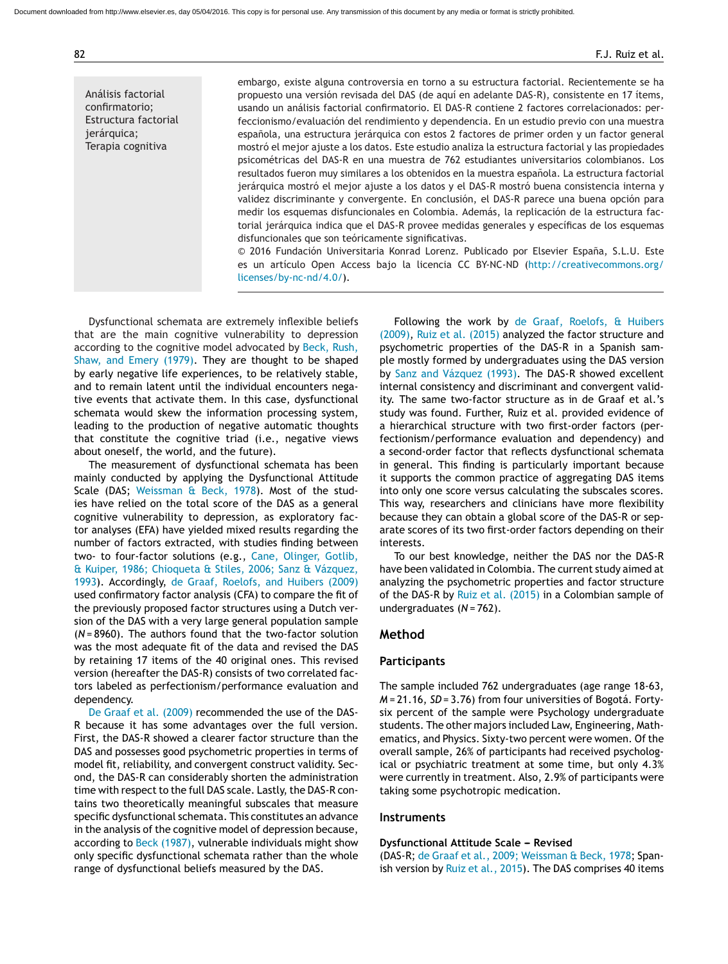Análisis factorial confirmatorio; Estructura factorial ierárquica: Terapia cognitiva

embargo, existe alguna controversia en torno a su estructura factorial. Recientemente se ha propuesto una versión revisada del DAS (de aquí en adelante DAS-R), consistente en 17 ítems, usando un análisis factorial confirmatorio. El DAS-R contiene 2 factores correlacionados: perfeccionismo/evaluación del rendimiento y dependencia. En un estudio previo con una muestra española, una estructura jerárquica con estos 2 factores de primer orden y un factor general mostró el mejor ajuste a los datos. Este estudio analiza la estructura factorial y las propiedades psicométricas del DAS-R en una muestra de 762 estudiantes universitarios colombianos. Los resultados fueron muy similares a los obtenidos en la muestra española. La estructura factorial jerárquica mostró el mejor ajuste a los datos y el DAS-R mostró buena consistencia interna y validez discriminante y convergente. En conclusión, el DAS-R parece una buena opción para medir los esquemas disfuncionales en Colombia. Además, la replicación de la estructura factorial jerárquica indica que el DAS-R provee medidas generales y específicas de los esquemas disfuncionales que son teóricamente significativas.

© 2016 Fundación Universitaria Konrad Lorenz. Publicado por Elsevier España, S.L.U. Este es un artículo Open Access bajo la licencia CC BY-NC-ND [\(http://creativecommons.org/](http://creativecommons.org/licenses/by-nc-nd/4.0/) [licenses/by-nc-nd/4.0/\)](http://creativecommons.org/licenses/by-nc-nd/4.0/).

Dysfunctional schemata are extremely inflexible beliefs that are the main cognitive vulnerability to depression according to the cognitive model advocated by [Beck,](#page-6-0) [Rush,](#page-6-0) [Shaw,](#page-6-0) [and](#page-6-0) [Emery](#page-6-0) [\(1979\).](#page-6-0) They are thought to be shaped by early negative life experiences, to be relatively stable, and to remain latent until the individual encounters negative events that activate them. In this case, dysfunctional schemata would skew the information processing system, leading to the production of negative automatic thoughts that constitute the cognitive triad (i.e., negative views about oneself, the world, and the future).

The measurement of dysfunctional schemata has been mainly conducted by applying the Dysfunctional Attitude Scale (DAS; [Weissman](#page-7-0) [&](#page-7-0) [Beck,](#page-7-0) [1978\).](#page-7-0) Most of the studies have relied on the total score of the DAS as a general cognitive vulnerability to depression, as exploratory factor analyses (EFA) have yielded mixed results regarding the number of factors extracted, with studies finding between two- to four-factor solutions (e.g., [Cane,](#page-7-0) [Olinger,](#page-7-0) [Gotlib,](#page-7-0) [&](#page-7-0) [Kuiper,](#page-7-0) [1986;](#page-7-0) [Chioqueta](#page-7-0) [&](#page-7-0) [Stiles,](#page-7-0) [2006;](#page-7-0) [Sanz](#page-7-0) [&](#page-7-0) [Vázquez,](#page-7-0) [1993\).](#page-7-0) Accordingly, [de](#page-7-0) [Graaf,](#page-7-0) [Roelofs,](#page-7-0) [and](#page-7-0) [Huibers](#page-7-0) [\(2009\)](#page-7-0) used confirmatory factor analysis (CFA) to compare the fit of the previously proposed factor structures using a Dutch version of the DAS with a very large general population sample (*N* = 8960). The authors found that the two-factor solution was the most adequate fit of the data and revised the DAS by retaining 17 items of the 40 original ones. This revised version (hereafter the DAS-R) consists of two correlated factors labeled as perfectionism/performance evaluation and dependency.

[De](#page-7-0) [Graaf](#page-7-0) et [al.](#page-7-0) [\(2009\)](#page-7-0) recommended the use of the DAS-R because it has some advantages over the full version. First, the DAS-R showed a clearer factor structure than the DAS and possesses good psychometric properties in terms of model fit, reliability, and convergent construct validity. Second, the DAS-R can considerably shorten the administration time with respect to the full DAS scale. Lastly, the DAS-R contains two theoretically meaningful subscales that measure specific dysfunctional schemata. This constitutes an advance in the analysis of the cognitive model of depression because, according to [Beck](#page-6-0) [\(1987\),](#page-6-0) vulnerable individuals might show only specific dysfunctional schemata rather than the whole range of dysfunctional beliefs measured by the DAS.

Following the work by [de](#page-7-0) [Graaf,](#page-7-0) [Roelofs,](#page-7-0) [&](#page-7-0) [Huibers](#page-7-0) [\(2009\),](#page-7-0) [Ruiz](#page-7-0) et [al.](#page-7-0) [\(2015\)](#page-7-0) analyzed the factor structure and psychometric properties of the DAS-R in a Spanish sample mostly formed by undergraduates using the DAS version by [Sanz](#page-7-0) [and](#page-7-0) [Vázquez](#page-7-0) [\(1993\).](#page-7-0) The DAS-R showed excellent internal consistency and discriminant and convergent validity. The same two-factor structure as in de Graaf et al.'s study was found. Further, Ruiz et al. provided evidence of a hierarchical structure with two first-order factors (perfectionism/performance evaluation and dependency) and a second-order factor that reflects dysfunctional schemata in general. This finding is particularly important because it supports the common practice of aggregating DAS items into only one score versus calculating the subscales scores. This way, researchers and clinicians have more flexibility because they can obtain a global score of the DAS-R or separate scores of its two first-order factors depending on their interests.

To our best knowledge, neither the DAS nor the DAS-R have been validated in Colombia. The current study aimed at analyzing the psychometric properties and factor structure of the DAS-R by [Ruiz](#page-7-0) et [al.](#page-7-0) [\(2015\)](#page-7-0) in a Colombian sample of undergraduates (*N* = 762).

## **Method**

#### **Participants**

The sample included 762 undergraduates (age range 18-63, *M* = 21.16, *SD* = 3.76) from four universities of Bogotá. Fortysix percent of the sample were Psychology undergraduate students. The other majors included Law, Engineering, Mathematics, and Physics. Sixty-two percent were women. Of the overall sample, 26% of participants had received psychological or psychiatric treatment at some time, but only 4.3% were currently in treatment. Also, 2.9% of participants were taking some psychotropic medication.

#### **Instruments**

#### **Dysfunctional Attitude Scale - Revised**

(DAS-R; [de](#page-7-0) [Graaf](#page-7-0) et [al.,](#page-7-0) [2009;](#page-7-0) [Weissman](#page-7-0) [&](#page-7-0) [Beck,](#page-7-0) [1978;](#page-7-0) Spanish version by [Ruiz](#page-7-0) et [al.,](#page-7-0) [2015\).](#page-7-0) The DAS comprises 40 items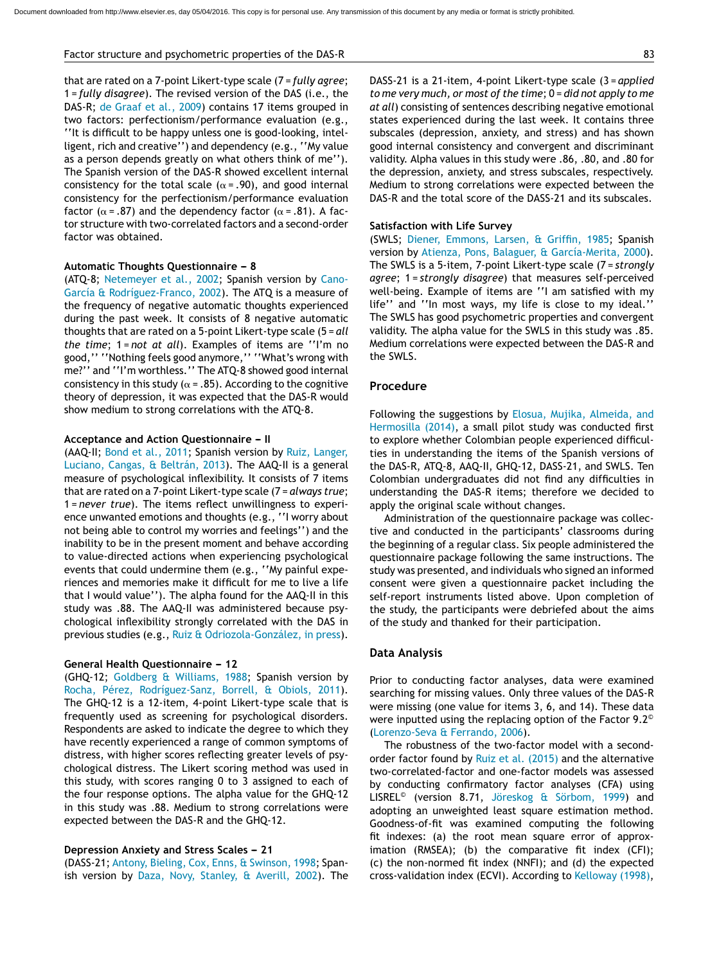#### Factor structure and psychometric properties of the DAS-R 83

that are rated on a 7-point Likert-type scale (7 = *fully agree*; 1 = *fully disagree*). The revised version of the DAS (i.e., the DAS-R; [de](#page-7-0) [Graaf](#page-7-0) et [al.,](#page-7-0) [2009\)](#page-7-0) contains 17 items grouped in two factors: perfectionism/performance evaluation (e.g., ''It is difficult to be happy unless one is good-looking, intelligent, rich and creative'') and dependency (e.g., ''My value as a person depends greatly on what others think of me''). The Spanish version of the DAS-R showed excellent internal consistency for the total scale ( $\alpha$  = .90), and good internal consistency for the perfectionism/performance evaluation factor ( $\alpha$  = .87) and the dependency factor ( $\alpha$  = .81). A factor structure with two-correlated factors and a second-order factor was obtained.

#### Automatic Thoughts Questionnaire - 8

(ATQ-8; [Netemeyer](#page-7-0) et [al.,](#page-7-0) [2002;](#page-7-0) Spanish version by [Cano-](#page-7-0)García [&](#page-7-0) [Rodríguez-Franco,](#page-7-0) [2002\).](#page-7-0) The ATQ is a measure of the frequency of negative automatic thoughts experienced during the past week. It consists of 8 negative automatic thoughts that are rated on a 5-point Likert-type scale (5 = *all the time*; 1 = *not at all*). Examples of items are ''I'm no good,'' ''Nothing feels good anymore,'' ''What's wrong with me?'' and ''I'm worthless.'' The ATQ-8 showed good internal consistency in this study ( $\alpha$  = .85). According to the cognitive theory of depression, it was expected that the DAS-R would show medium to strong correlations with the ATQ-8.

#### **Acceptance and Action Questionnaire --- II**

(AAQ-II; [Bond](#page-7-0) et [al.,](#page-7-0) [2011;](#page-7-0) Spanish version by [Ruiz,](#page-7-0) [Langer,](#page-7-0) [Luciano,](#page-7-0) [Cangas,](#page-7-0) [&](#page-7-0) [Beltrán,](#page-7-0) [2013\).](#page-7-0) The AAQ-II is a general measure of psychological inflexibility. It consists of 7 items that are rated on a 7-point Likert-type scale (7 = *always true*; 1 = *never true*). The items reflect unwillingness to experience unwanted emotions and thoughts (e.g., ''I worry about not being able to control my worries and feelings'') and the inability to be in the present moment and behave according to value-directed actions when experiencing psychological events that could undermine them (e.g., ''My painful experiences and memories make it difficult for me to live a life that I would value''). The alpha found for the AAQ-II in this study was .88. The AAQ-II was administered because psychological inflexibility strongly correlated with the DAS in previous studies (e.g., [Ruiz](#page-7-0) [&](#page-7-0) [Odriozola-González,](#page-7-0) [in](#page-7-0) [press\).](#page-7-0)

#### **General Health Questionnaire - 12**

(GHQ-12; [Goldberg](#page-7-0) [&](#page-7-0) [Williams,](#page-7-0) [1988;](#page-7-0) Spanish version by [Rocha,](#page-7-0) [Pérez,](#page-7-0) [Rodríguez-Sanz,](#page-7-0) [Borrell,](#page-7-0) [&](#page-7-0) [Obiols,](#page-7-0) [2011\).](#page-7-0) The GHQ-12 is a 12-item, 4-point Likert-type scale that is frequently used as screening for psychological disorders. Respondents are asked to indicate the degree to which they have recently experienced a range of common symptoms of distress, with higher scores reflecting greater levels of psychological distress. The Likert scoring method was used in this study, with scores ranging 0 to 3 assigned to each of the four response options. The alpha value for the GHQ-12 in this study was .88. Medium to strong correlations were expected between the DAS-R and the GHQ-12.

#### **Depression Anxiety and Stress Scales - 21**

(DASS-21; [Antony,](#page-6-0) [Bieling,](#page-6-0) [Cox,](#page-6-0) [Enns,](#page-6-0) [&](#page-6-0) [Swinson,](#page-6-0) [1998;](#page-6-0) Spanish version by [Daza,](#page-7-0) [Novy,](#page-7-0) [Stanley,](#page-7-0) [&](#page-7-0) [Averill,](#page-7-0) [2002\).](#page-7-0) The DASS-21 is a 21-item, 4-point Likert-type scale (3 = *applied to me very much, or most of the time*; 0 = *did not apply to me at all*) consisting of sentences describing negative emotional states experienced during the last week. It contains three subscales (depression, anxiety, and stress) and has shown good internal consistency and convergent and discriminant validity. Alpha values in this study were .86, .80, and .80 for the depression, anxiety, and stress subscales, respectively. Medium to strong correlations were expected between the DAS-R and the total score of the DASS-21 and its subscales.

#### **Satisfaction with Life Survey**

(SWLS; [Diener,](#page-7-0) [Emmons,](#page-7-0) [Larsen,](#page-7-0) [&](#page-7-0) [Griffin,](#page-7-0) [1985;](#page-7-0) Spanish version by [Atienza,](#page-6-0) [Pons,](#page-6-0) [Balaguer,](#page-6-0) [&](#page-6-0) [García-Merita,](#page-6-0) [2000\).](#page-6-0) The SWLS is a 5-item, 7-point Likert-type scale (7 = *strongly agree*; 1 = *strongly disagree*) that measures self-perceived well-being. Example of items are ''I am satisfied with my life'' and ''In most ways, my life is close to my ideal.'' The SWLS has good psychometric properties and convergent validity. The alpha value for the SWLS in this study was .85. Medium correlations were expected between the DAS-R and the SWLS.

#### **Procedure**

Following the suggestions by [Elosua,](#page-7-0) [Mujika,](#page-7-0) [Almeida,](#page-7-0) [and](#page-7-0) [Hermosilla](#page-7-0) [\(2014\),](#page-7-0) a small pilot study was conducted first to explore whether Colombian people experienced difficulties in understanding the items of the Spanish versions of the DAS-R, ATQ-8, AAQ-II, GHQ-12, DASS-21, and SWLS. Ten Colombian undergraduates did not find any difficulties in understanding the DAS-R items; therefore we decided to apply the original scale without changes.

Administration of the questionnaire package was collective and conducted in the participants' classrooms during the beginning of a regular class. Six people administered the questionnaire package following the same instructions. The study was presented, and individuals who signed an informed consent were given a questionnaire packet including the self-report instruments listed above. Upon completion of the study, the participants were debriefed about the aims of the study and thanked for their participation.

#### **Data Analysis**

Prior to conducting factor analyses, data were examined searching for missing values. Only three values of the DAS-R were missing (one value for items 3, 6, and 14). These data were inputted using the replacing option of the Factor 9.2© ([Lorenzo-Seva](#page-7-0) [&](#page-7-0) [Ferrando,](#page-7-0) [2006\).](#page-7-0)

The robustness of the two-factor model with a secondorder factor found by [Ruiz](#page-7-0) et [al.](#page-7-0) [\(2015\)](#page-7-0) and the alternative two-correlated-factor and one-factor models was assessed by conducting confirmatory factor analyses (CFA) using LISREL© (version 8.71, [Jöreskog](#page-7-0) [&](#page-7-0) [Sörbom,](#page-7-0) [1999\)](#page-7-0) and adopting an unweighted least square estimation method. Goodness-of-fit was examined computing the following fit indexes: (a) the root mean square error of approximation (RMSEA); (b) the comparative fit index (CFI); (c) the non-normed fit index (NNFI); and (d) the expected cross-validation index (ECVI). According to [Kelloway](#page-7-0) [\(1998\),](#page-7-0)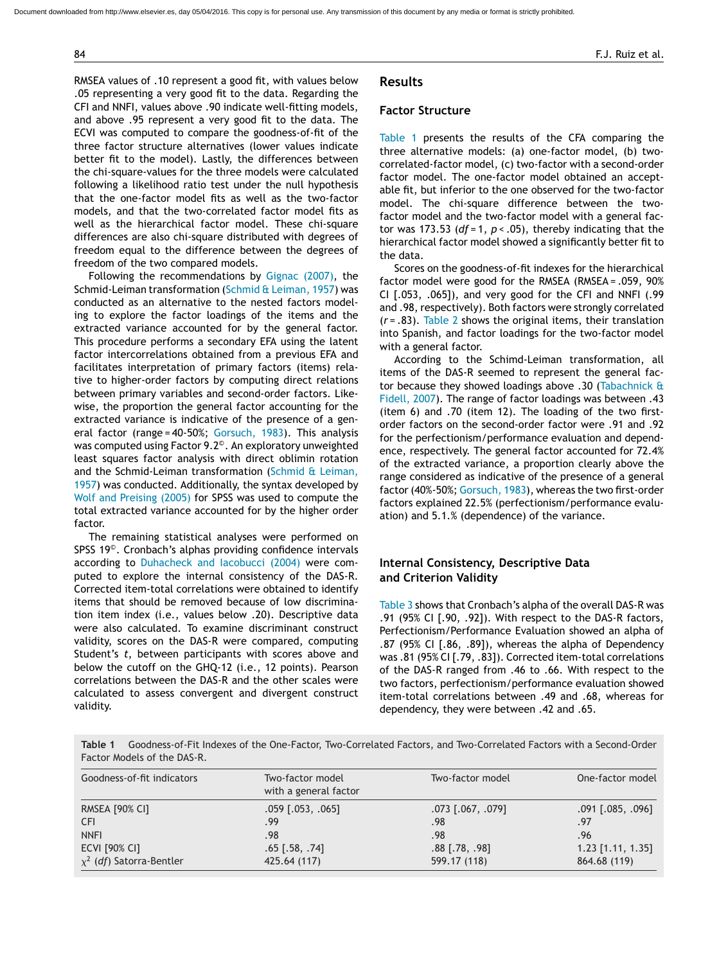RMSEA values of .10 represent a good fit, with values below .05 representing a very good fit to the data. Regarding the CFI and NNFI, values above .90 indicate well-fitting models, and above .95 represent a very good fit to the data. The ECVI was computed to compare the goodness-of-fit of the three factor structure alternatives (lower values indicate better fit to the model). Lastly, the differences between the chi-square-values for the three models were calculated following a likelihood ratio test under the null hypothesis that the one-factor model fits as well as the two-factor models, and that the two-correlated factor model fits as well as the hierarchical factor model. These chi-square differences are also chi-square distributed with degrees of freedom equal to the difference between the degrees of freedom of the two compared models.

Following the recommendations by [Gignac](#page-7-0) [\(2007\),](#page-7-0) the Schmid-Leiman transformation ([Schmid](#page-7-0) [&](#page-7-0) [Leiman,](#page-7-0) [1957\)](#page-7-0) was conducted as an alternative to the nested factors modeling to explore the factor loadings of the items and the extracted variance accounted for by the general factor. This procedure performs a secondary EFA using the latent factor intercorrelations obtained from a previous EFA and facilitates interpretation of primary factors (items) relative to higher-order factors by computing direct relations between primary variables and second-order factors. Likewise, the proportion the general factor accounting for the extracted variance is indicative of the presence of a general factor (range = 40-50%; [Gorsuch,](#page-7-0) [1983\).](#page-7-0) This analysis was computed using Factor 9.2<sup>°</sup>. An exploratory unweighted least squares factor analysis with direct oblimin rotation and the Schmid-Leiman transformation [\(Schmid](#page-7-0)  $\&$  $\&$  [Leiman,](#page-7-0) [1957\)](#page-7-0) was conducted. Additionally, the syntax developed by [Wolf](#page-7-0) [and](#page-7-0) [Preising](#page-7-0) [\(2005\)](#page-7-0) for SPSS was used to compute the total extracted variance accounted for by the higher order factor.

The remaining statistical analyses were performed on SPSS 19©. Cronbach's alphas providing confidence intervals according to [Duhacheck](#page-7-0) [and](#page-7-0) [Iacobucci](#page-7-0) [\(2004\)](#page-7-0) were computed to explore the internal consistency of the DAS-R. Corrected item-total correlations were obtained to identify items that should be removed because of low discrimination item index (i.e., values below .20). Descriptive data were also calculated. To examine discriminant construct validity, scores on the DAS-R were compared, computing Student's *t*, between participants with scores above and below the cutoff on the GHQ-12 (i.e., 12 points). Pearson correlations between the DAS-R and the other scales were calculated to assess convergent and divergent construct validity.

## **Results**

#### **Factor Structure**

Table 1 presents the results of the CFA comparing the three alternative models: (a) one-factor model, (b) twocorrelated-factor model, (c) two-factor with a second-order factor model. The one-factor model obtained an acceptable fit, but inferior to the one observed for the two-factor model. The chi-square difference between the twofactor model and the two-factor model with a general factor was 173.53 (*df* = 1, *p* < .05), thereby indicating that the hierarchical factor model showed a significantly better fit to the data.

Scores on the goodness-of-fit indexes for the hierarchical factor model were good for the RMSEA (RMSEA = .059, 90% CI [.053, .065]), and very good for the CFI and NNFI (.99 and .98, respectively). Both factors were strongly correlated (*r* = .83). [Table](#page-5-0) 2 shows the original items, their translation into Spanish, and factor loadings for the two-factor model with a general factor.

According to the Schimd-Leiman transformation, all items of the DAS-R seemed to represent the general factor because they showed loadings above .30 [\(Tabachnick](#page-7-0) [&](#page-7-0) [Fidell,](#page-7-0) [2007\).](#page-7-0) The range of factor loadings was between .43 (item 6) and .70 (item 12). The loading of the two firstorder factors on the second-order factor were .91 and .92 for the perfectionism/performance evaluation and dependence, respectively. The general factor accounted for 72.4% of the extracted variance, a proportion clearly above the range considered as indicative of the presence of a general factor (40%-50%; [Gorsuch,](#page-7-0) [1983\),](#page-7-0) whereas the two first-order factors explained 22.5% (perfectionism/performance evaluation) and 5.1.% (dependence) of the variance.

## **Internal Consistency, Descriptive Data and Criterion Validity**

[Table](#page-5-0) 3 shows that Cronbach's alpha of the overall DAS-R was .91 (95% CI [.90, .92]). With respect to the DAS-R factors, Perfectionism/Performance Evaluation showed an alpha of .87 (95% CI [.86, .89]), whereas the alpha of Dependency was .81 (95% CI [.79, .83]). Corrected item-total correlations of the DAS-R ranged from .46 to .66. With respect to the two factors, perfectionism/performance evaluation showed item-total correlations between .49 and .68, whereas for dependency, they were between .42 and .65.

**Table 1** Goodness-of-Fit Indexes of the One-Factor, Two-Correlated Factors, and Two-Correlated Factors with a Second-Order Factor Models of the DAS-R.

| Goodness-of-fit indicators    | Two-factor model<br>with a general factor | Two-factor model  | One-factor model      |
|-------------------------------|-------------------------------------------|-------------------|-----------------------|
| <b>RMSEA [90% CI]</b>         | $.059$ $[.053, .065]$                     | .073 [.067, .079] | $.091$ $[.085, .096]$ |
| <b>CFI</b>                    | .99                                       | .98               | .97                   |
| <b>NNFI</b>                   | .98                                       | .98               | .96                   |
| ECVI [90% CI]                 | $.65$ [.58, .74]                          | $.88$ [.78, .98]  | $1.23$ [1.11, 1.35]   |
| $\chi^2$ (df) Satorra-Bentler | 425.64 (117)                              | 599.17 (118)      | 864.68 (119)          |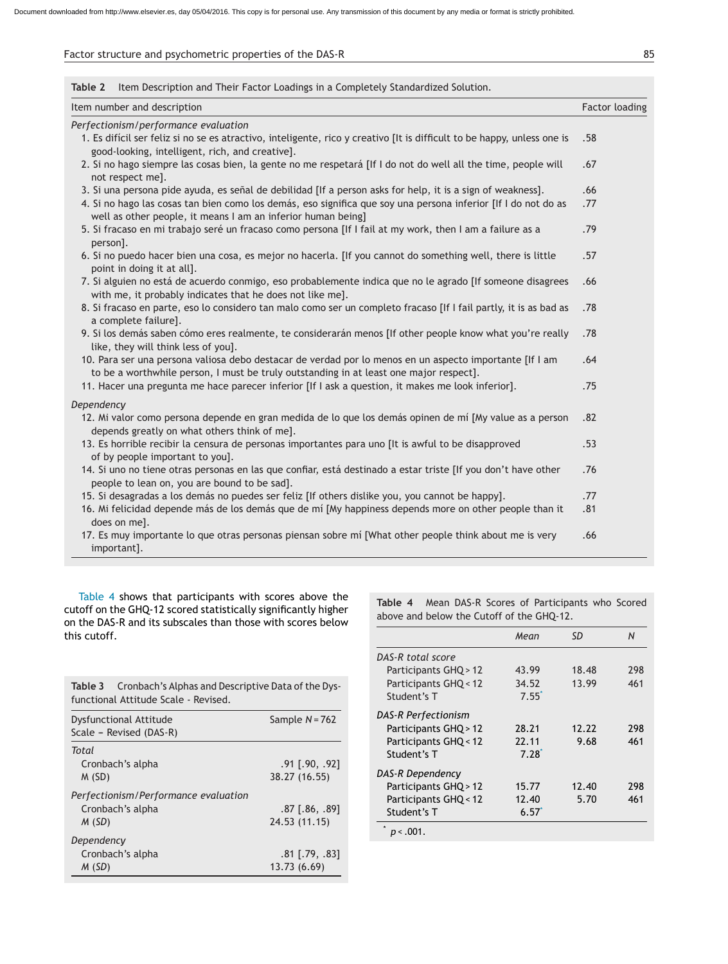## <span id="page-5-0"></span>Factor structure and psychometric properties of the DAS-R 85

## **Table 2** Item Description and Their Factor Loadings in a Completely Standardized Solution.

| Item number and description                                                                                                                                                                       | Factor loading |
|---------------------------------------------------------------------------------------------------------------------------------------------------------------------------------------------------|----------------|
| Perfectionism/performance evaluation                                                                                                                                                              |                |
| 1. Es difícil ser feliz si no se es atractivo, inteligente, rico y creativo [It is difficult to be happy, unless one is<br>good-looking, intelligent, rich, and creative].                        | .58            |
| 2. Si no hago siempre las cosas bien, la gente no me respetará [If I do not do well all the time, people will<br>not respect me].                                                                 | .67            |
| 3. Si una persona pide ayuda, es señal de debilidad [If a person asks for help, it is a sign of weakness].                                                                                        | .66            |
| 4. Si no hago las cosas tan bien como los demás, eso significa que soy una persona inferior [If I do not do as<br>well as other people, it means I am an inferior human being]                    | .77            |
| 5. Si fracaso en mi trabajo seré un fracaso como persona [If I fail at my work, then I am a failure as a<br>person].                                                                              | .79            |
| 6. Si no puedo hacer bien una cosa, es mejor no hacerla. [If you cannot do something well, there is little<br>point in doing it at all].                                                          | .57            |
| 7. Si alguien no está de acuerdo conmigo, eso probablemente indica que no le agrado [If someone disagrees<br>with me, it probably indicates that he does not like me].                            | .66            |
| 8. Si fracaso en parte, eso lo considero tan malo como ser un completo fracaso [If I fail partly, it is as bad as<br>a complete failure].                                                         | .78            |
| 9. Si los demás saben cómo eres realmente, te considerarán menos [If other people know what you're really<br>like, they will think less of you].                                                  | .78            |
| 10. Para ser una persona valiosa debo destacar de verdad por lo menos en un aspecto importante [If I am<br>to be a worthwhile person, I must be truly outstanding in at least one major respect]. | .64            |
| 11. Hacer una pregunta me hace parecer inferior [If I ask a question, it makes me look inferior].                                                                                                 | .75            |
| Dependency                                                                                                                                                                                        |                |
| 12. Mi valor como persona depende en gran medida de lo que los demás opinen de mí [My value as a person<br>depends greatly on what others think of me].                                           | .82            |
| 13. Es horrible recibir la censura de personas importantes para uno [It is awful to be disapproved<br>of by people important to you].                                                             | .53            |
| 14. Si uno no tiene otras personas en las que confiar, está destinado a estar triste [If you don't have other<br>people to lean on, you are bound to be sad].                                     | .76            |
| 15. Si desagradas a los demás no puedes ser feliz [If others dislike you, you cannot be happy].                                                                                                   | .77            |
| 16. Mi felicidad depende más de los demás que de mí [My happiness depends more on other people than it<br>does on me].                                                                            | .81            |
| 17. Es muy importante lo que otras personas piensan sobre mí [What other people think about me is very<br>important].                                                                             | .66            |

Table 4 shows that participants with scores above the cutoff on the GHQ-12 scored statistically significantly higher on the DAS-R and its subscales than those with scores below this cutoff.

| Table 3 Cronbach's Alphas and Descriptive Data of the Dys-<br>functional Attitude Scale - Revised. |                                     |
|----------------------------------------------------------------------------------------------------|-------------------------------------|
| <b>Dysfunctional Attitude</b><br>Scale – Revised (DAS-R)                                           | Sample $N = 762$                    |
| Total<br>Cronbach's alpha<br>M(SD)                                                                 | $.91$ $[.90, .92]$<br>38.27 (16.55) |
| Perfectionism/Performance evaluation<br>Cronbach's alpha<br>M(SD)                                  | .87 [.86, .89]<br>24.53 (11.15)     |
| Dependency<br>Cronbach's alpha<br>M(SD)                                                            | $.81$ [.79, .83]<br>13.73 (6.69)    |

**Table 4** Mean DAS-R Scores of Participants who Scored above and below the Cutoff of the GHQ-12.

|                            | Mean                | <b>SD</b> | $\overline{N}$ |
|----------------------------|---------------------|-----------|----------------|
| DAS-R total score          |                     |           |                |
| Participants GHQ > 12      | 43.99               | 18.48     | 298            |
| Participants GHQ < 12      | 34.52               | 13.99     | 461            |
| Student's T                | $7.55$ <sup>*</sup> |           |                |
| <b>DAS-R Perfectionism</b> |                     |           |                |
| Participants GHQ > 12      | 28.21               | 12.22     | 298            |
| Participants GHQ < 12      | 77.11               | 9.68      | 461            |
| Student's T                | $7.28^*$            |           |                |
| <b>DAS-R Dependency</b>    |                     |           |                |
| Participants GHQ > 12      | 15.77               | 12.40     | 298            |
| Participants GHQ < 12      | 12.40               | 5.70      | 461            |
| Student's T                | $6.57^*$            |           |                |
| .001 > a                   |                     |           |                |
|                            |                     |           |                |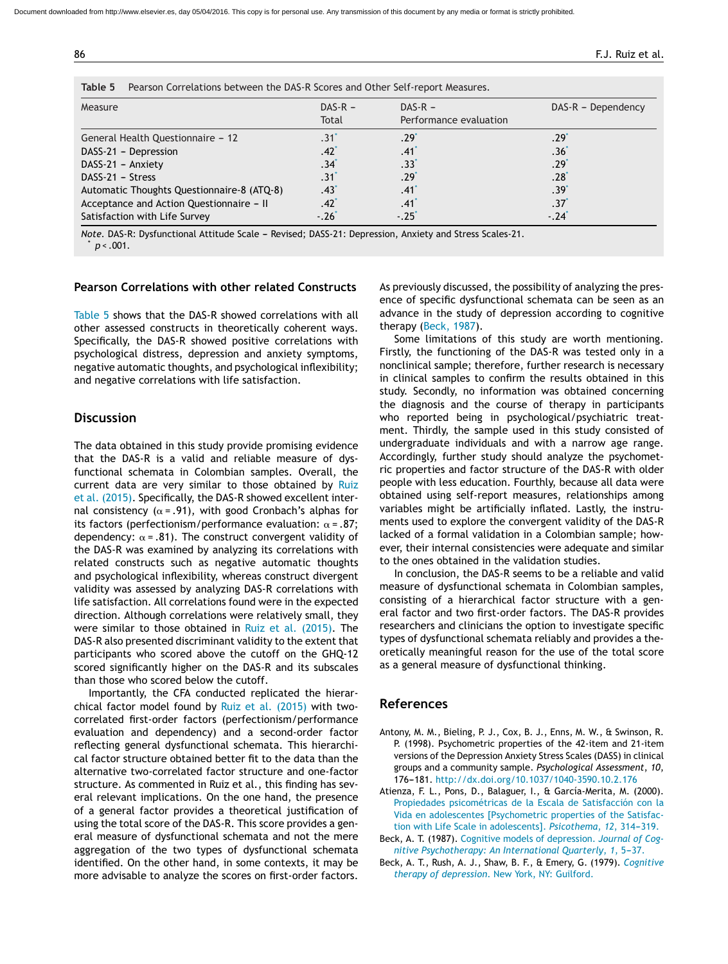<span id="page-6-0"></span>

86 F.J. Ruiz et al.

| Measure                                    | $DAS-R -$        | $DAS-R -$              | $DAS-R - Dependercv$ |
|--------------------------------------------|------------------|------------------------|----------------------|
|                                            | Total            | Performance evaluation |                      |
| General Health Questionnaire - 12          | .31 <sup>°</sup> | .29'                   | .29                  |
| DASS-21 - Depression                       | .42              | .41                    | .36                  |
| DASS-21 - Anxiety                          | .34              | .33 <sup>°</sup>       | .29'                 |
| DASS-21 - Stress                           | .31 <sup>′</sup> | .29'                   | .28                  |
| Automatic Thoughts Questionnaire-8 (ATQ-8) | .43 <sup>′</sup> | .41                    | .39 <sup>′</sup>     |
| Acceptance and Action Questionnaire - II   | $.42^{\degree}$  | .41                    | .37                  |
| Satisfaction with Life Survey              | $-.26$           | $-.25$                 | $-.24$ <sup>*</sup>  |

*Note*. DAS-R: Dysfunctional Attitude Scale – Revised; DASS-21: Depression, Anxiety and Stress Scales-21.

## \* *p < .*001*.*

#### **Pearson Correlations with other related Constructs**

Table 5 shows that the DAS-R showed correlations with all other assessed constructs in theoretically coherent ways. Specifically, the DAS-R showed positive correlations with psychological distress, depression and anxiety symptoms, negative automatic thoughts, and psychological inflexibility; and negative correlations with life satisfaction.

## **Discussion**

The data obtained in this study provide promising evidence that the DAS-R is a valid and reliable measure of dysfunctional schemata in Colombian samples. Overall, the current data are very similar to those obtained by [Ruiz](#page-7-0) et [al.](#page-7-0) [\(2015\).](#page-7-0) Specifically, the DAS-R showed excellent internal consistency ( $\alpha$ =.91), with good Cronbach's alphas for its factors (perfectionism/performance evaluation:  $\alpha$  = .87; dependency:  $\alpha$  = .81). The construct convergent validity of the DAS-R was examined by analyzing its correlations with related constructs such as negative automatic thoughts and psychological inflexibility, whereas construct divergent validity was assessed by analyzing DAS-R correlations with life satisfaction. All correlations found were in the expected direction. Although correlations were relatively small, they were similar to those obtained in [Ruiz](#page-7-0) et [al.](#page-7-0) [\(2015\).](#page-7-0) The DAS-R also presented discriminant validity to the extent that participants who scored above the cutoff on the GHQ-12 scored significantly higher on the DAS-R and its subscales than those who scored below the cutoff.

Importantly, the CFA conducted replicated the hierarchical factor model found by [Ruiz](#page-7-0) et [al.](#page-7-0) [\(2015\)](#page-7-0) with twocorrelated first-order factors (perfectionism/performance evaluation and dependency) and a second-order factor reflecting general dysfunctional schemata. This hierarchical factor structure obtained better fit to the data than the alternative two-correlated factor structure and one-factor structure. As commented in Ruiz et al., this finding has several relevant implications. On the one hand, the presence of a general factor provides a theoretical justification of using the total score of the DAS-R. This score provides a general measure of dysfunctional schemata and not the mere aggregation of the two types of dysfunctional schemata identified. On the other hand, in some contexts, it may be more advisable to analyze the scores on first-order factors.

As previously discussed, the possibility of analyzing the presence of specific dysfunctional schemata can be seen as an advance in the study of depression according to cognitive therapy (Beck, 1987).

Some limitations of this study are worth mentioning. Firstly, the functioning of the DAS-R was tested only in a nonclinical sample; therefore, further research is necessary in clinical samples to confirm the results obtained in this study. Secondly, no information was obtained concerning the diagnosis and the course of therapy in participants who reported being in psychological/psychiatric treatment. Thirdly, the sample used in this study consisted of undergraduate individuals and with a narrow age range. Accordingly, further study should analyze the psychometric properties and factor structure of the DAS-R with older people with less education. Fourthly, because all data were obtained using self-report measures, relationships among variables might be artificially inflated. Lastly, the instruments used to explore the convergent validity of the DAS-R lacked of a formal validation in a Colombian sample; however, their internal consistencies were adequate and similar to the ones obtained in the validation studies.

In conclusion, the DAS-R seems to be a reliable and valid measure of dysfunctional schemata in Colombian samples, consisting of a hierarchical factor structure with a general factor and two first-order factors. The DAS-R provides researchers and clinicians the option to investigate specific types of dysfunctional schemata reliably and provides a theoretically meaningful reason for the use of the total score as a general measure of dysfunctional thinking.

## **References**

- Antony, M. M., Bieling, P. J., Cox, B. J., Enns, M. W., & Swinson, R. P. (1998). Psychometric properties of the 42-item and 21-item versions of the Depression Anxiety Stress Scales (DASS) in clinical groups and a community sample. *Psychological Assessment*, *10*, 176-181. [http://dx.doi.org/10.1037/1040-3590.10.2.176](dx.doi.org/10.1037/1040-3590.10.2.176)
- Atienza, F. L., Pons, D., Balaguer, I., & García-Merita, M. (2000). [Propiedades](http://refhub.elsevier.com/S0120-0534(16)00002-9/sbref0010) [psicométricas](http://refhub.elsevier.com/S0120-0534(16)00002-9/sbref0010) [de](http://refhub.elsevier.com/S0120-0534(16)00002-9/sbref0010) [la](http://refhub.elsevier.com/S0120-0534(16)00002-9/sbref0010) [Escala](http://refhub.elsevier.com/S0120-0534(16)00002-9/sbref0010) [de](http://refhub.elsevier.com/S0120-0534(16)00002-9/sbref0010) [Satisfacción](http://refhub.elsevier.com/S0120-0534(16)00002-9/sbref0010) [con](http://refhub.elsevier.com/S0120-0534(16)00002-9/sbref0010) [la](http://refhub.elsevier.com/S0120-0534(16)00002-9/sbref0010) [Vida](http://refhub.elsevier.com/S0120-0534(16)00002-9/sbref0010) [en](http://refhub.elsevier.com/S0120-0534(16)00002-9/sbref0010) [adolescentes](http://refhub.elsevier.com/S0120-0534(16)00002-9/sbref0010) [\[Psychometric](http://refhub.elsevier.com/S0120-0534(16)00002-9/sbref0010) [properties](http://refhub.elsevier.com/S0120-0534(16)00002-9/sbref0010) [of](http://refhub.elsevier.com/S0120-0534(16)00002-9/sbref0010) [the](http://refhub.elsevier.com/S0120-0534(16)00002-9/sbref0010) [Satisfac](http://refhub.elsevier.com/S0120-0534(16)00002-9/sbref0010)[tion](http://refhub.elsevier.com/S0120-0534(16)00002-9/sbref0010) [with](http://refhub.elsevier.com/S0120-0534(16)00002-9/sbref0010) [Life](http://refhub.elsevier.com/S0120-0534(16)00002-9/sbref0010) [Scale](http://refhub.elsevier.com/S0120-0534(16)00002-9/sbref0010) [in](http://refhub.elsevier.com/S0120-0534(16)00002-9/sbref0010) [adolescents\].](http://refhub.elsevier.com/S0120-0534(16)00002-9/sbref0010) [Psicothema](http://refhub.elsevier.com/S0120-0534(16)00002-9/sbref0010)[,](http://refhub.elsevier.com/S0120-0534(16)00002-9/sbref0010) [12](http://refhub.elsevier.com/S0120-0534(16)00002-9/sbref0010), 314-319.
- Beck, A. T. (1987). [Cognitive](http://refhub.elsevier.com/S0120-0534(16)00002-9/sbref0015) [models](http://refhub.elsevier.com/S0120-0534(16)00002-9/sbref0015) [of](http://refhub.elsevier.com/S0120-0534(16)00002-9/sbref0015) [depression.](http://refhub.elsevier.com/S0120-0534(16)00002-9/sbref0015) *[Journal](http://refhub.elsevier.com/S0120-0534(16)00002-9/sbref0015) [of](http://refhub.elsevier.com/S0120-0534(16)00002-9/sbref0015) [Cog](http://refhub.elsevier.com/S0120-0534(16)00002-9/sbref0015)[nitive](http://refhub.elsevier.com/S0120-0534(16)00002-9/sbref0015) [Psychotherapy:](http://refhub.elsevier.com/S0120-0534(16)00002-9/sbref0015) [An](http://refhub.elsevier.com/S0120-0534(16)00002-9/sbref0015) [International](http://refhub.elsevier.com/S0120-0534(16)00002-9/sbref0015) [Quarterly](http://refhub.elsevier.com/S0120-0534(16)00002-9/sbref0015)[,](http://refhub.elsevier.com/S0120-0534(16)00002-9/sbref0015) [1](http://refhub.elsevier.com/S0120-0534(16)00002-9/sbref0015), 5-37.*
- Beck, A. T., Rush, A. J., Shaw, B. F., & Emery, G. (1979). *[Cognitive](http://refhub.elsevier.com/S0120-0534(16)00002-9/sbref0020) [therapy](http://refhub.elsevier.com/S0120-0534(16)00002-9/sbref0020) [of](http://refhub.elsevier.com/S0120-0534(16)00002-9/sbref0020) [depression](http://refhub.elsevier.com/S0120-0534(16)00002-9/sbref0020)*[.](http://refhub.elsevier.com/S0120-0534(16)00002-9/sbref0020) [New](http://refhub.elsevier.com/S0120-0534(16)00002-9/sbref0020) [York,](http://refhub.elsevier.com/S0120-0534(16)00002-9/sbref0020) [NY:](http://refhub.elsevier.com/S0120-0534(16)00002-9/sbref0020) [Guilford.](http://refhub.elsevier.com/S0120-0534(16)00002-9/sbref0020)